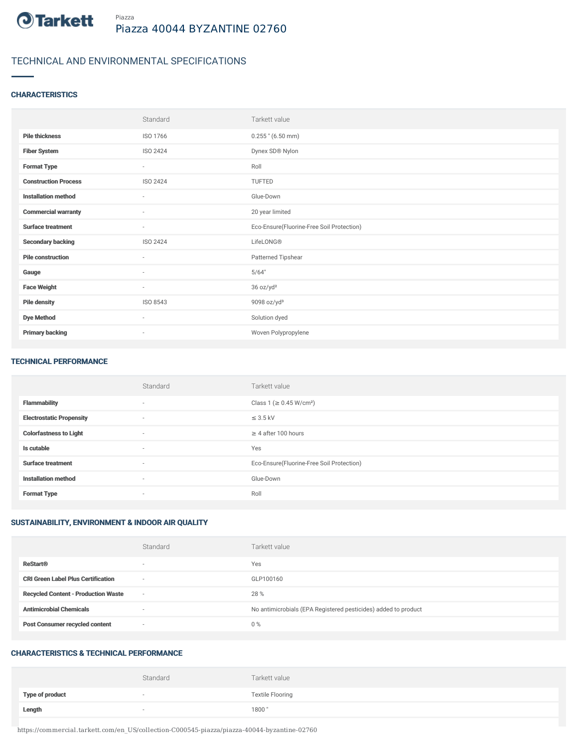

# TECHNICAL AND ENVIRONMENTAL SPECIFICATIONS

## **CHARACTERISTICS**

|                             | Standard                 | Tarkett value                             |
|-----------------------------|--------------------------|-------------------------------------------|
| <b>Pile thickness</b>       | ISO 1766                 | $0.255$ " (6.50 mm)                       |
| <b>Fiber System</b>         | ISO 2424                 | Dynex SD® Nylon                           |
| <b>Format Type</b>          | $\sim$                   | Roll                                      |
| <b>Construction Process</b> | ISO 2424                 | <b>TUFTED</b>                             |
| <b>Installation method</b>  | $\sim$                   | Glue-Down                                 |
| <b>Commercial warranty</b>  | $\sim$                   | 20 year limited                           |
| <b>Surface treatment</b>    | $\sim$                   | Eco-Ensure(Fluorine-Free Soil Protection) |
| <b>Secondary backing</b>    | ISO 2424                 | LifeLONG®                                 |
| <b>Pile construction</b>    | $\sim$                   | Patterned Tipshear                        |
| Gauge                       | $\overline{\phantom{a}}$ | 5/64"                                     |
| <b>Face Weight</b>          | $\sim$                   | 36 oz/yd <sup>2</sup>                     |
| <b>Pile density</b>         | ISO 8543                 | 9098 oz/yd <sup>3</sup>                   |
| <b>Dye Method</b>           | $\sim$                   | Solution dyed                             |
| <b>Primary backing</b>      | $\overline{\phantom{a}}$ | Woven Polypropylene                       |

#### TECHNICAL PERFORMANCE

|                                 | Standard                 | Tarkett value                             |
|---------------------------------|--------------------------|-------------------------------------------|
| <b>Flammability</b>             | $\sim$                   | Class 1 ( $\geq$ 0.45 W/cm <sup>2</sup> ) |
| <b>Electrostatic Propensity</b> | $\overline{\phantom{a}}$ | $\leq$ 3.5 kV                             |
| <b>Colorfastness to Light</b>   | $\sim$                   | $\geq$ 4 after 100 hours                  |
| Is cutable                      | $\sim$                   | Yes                                       |
| <b>Surface treatment</b>        | $\sim$                   | Eco-Ensure(Fluorine-Free Soil Protection) |
| <b>Installation method</b>      | $\sim$                   | Glue-Down                                 |
| <b>Format Type</b>              | $\sim$                   | Roll                                      |

# SUSTAINABILITY, ENVIRONMENT & INDOOR AIR QUALITY

|                                            | Standard                 | Tarkett value                                                  |
|--------------------------------------------|--------------------------|----------------------------------------------------------------|
| <b>ReStart®</b>                            | $\overline{\phantom{a}}$ | Yes                                                            |
| <b>CRI Green Label Plus Certification</b>  | $\overline{\phantom{a}}$ | GLP100160                                                      |
| <b>Recycled Content - Production Waste</b> | $\overline{\phantom{a}}$ | 28 %                                                           |
| <b>Antimicrobial Chemicals</b>             | <b>1999</b>              | No antimicrobials (EPA Registered pesticides) added to product |
| <b>Post Consumer recycled content</b>      | $\overline{\phantom{a}}$ | $0\%$                                                          |

#### CHARACTERISTICS & TECHNICAL PERFORMANCE

|                        | Standard                 | Tarkett value           |
|------------------------|--------------------------|-------------------------|
| <b>Type of product</b> | $\overline{\phantom{a}}$ | <b>Textile Flooring</b> |
| Length                 |                          | 1800"                   |

https://commercial.tarkett.com/en\_US/collection-C000545-piazza/piazza-40044-byzantine-02760